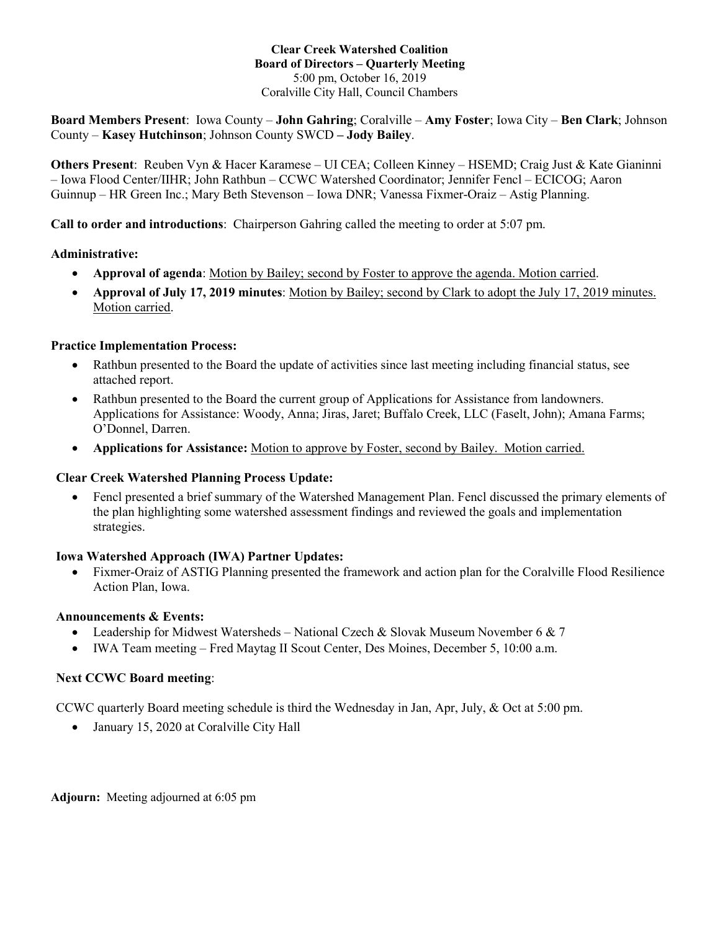### **Clear Creek Watershed Coalition Board of Directors – Quarterly Meeting** 5:00 pm, October 16, 2019 Coralville City Hall, Council Chambers

**Board Members Present**: Iowa County – **John Gahring**; Coralville – **Amy Foster**; Iowa City – **Ben Clark**; Johnson County – **Kasey Hutchinson**; Johnson County SWCD **– Jody Bailey**.

**Others Present**: Reuben Vyn & Hacer Karamese – UI CEA; Colleen Kinney – HSEMD; Craig Just & Kate Gianinni – Iowa Flood Center/IIHR; John Rathbun – CCWC Watershed Coordinator; Jennifer Fencl – ECICOG; Aaron Guinnup – HR Green Inc.; Mary Beth Stevenson – Iowa DNR; Vanessa Fixmer-Oraiz – Astig Planning.

**Call to order and introductions**: Chairperson Gahring called the meeting to order at 5:07 pm.

## **Administrative:**

- **Approval of agenda**: Motion by Bailey; second by Foster to approve the agenda. Motion carried.
- **Approval of July 17, 2019 minutes**: Motion by Bailey; second by Clark to adopt the July 17, 2019 minutes. Motion carried.

## **Practice Implementation Process:**

- Rathbun presented to the Board the update of activities since last meeting including financial status, see attached report.
- Rathbun presented to the Board the current group of Applications for Assistance from landowners. Applications for Assistance: Woody, Anna; Jiras, Jaret; Buffalo Creek, LLC (Faselt, John); Amana Farms; O'Donnel, Darren.
- **Applications for Assistance:** Motion to approve by Foster, second by Bailey. Motion carried.

### **Clear Creek Watershed Planning Process Update:**

• Fencl presented a brief summary of the Watershed Management Plan. Fencl discussed the primary elements of the plan highlighting some watershed assessment findings and reviewed the goals and implementation strategies.

# **Iowa Watershed Approach (IWA) Partner Updates:**

• Fixmer-Oraiz of ASTIG Planning presented the framework and action plan for the Coralville Flood Resilience Action Plan, Iowa.

### **Announcements & Events:**

- Leadership for Midwest Watersheds National Czech & Slovak Museum November 6 & 7
- IWA Team meeting Fred Maytag II Scout Center, Des Moines, December 5, 10:00 a.m.

### **Next CCWC Board meeting**:

CCWC quarterly Board meeting schedule is third the Wednesday in Jan, Apr, July, & Oct at 5:00 pm.

• January 15, 2020 at Coralville City Hall

**Adjourn:** Meeting adjourned at 6:05 pm